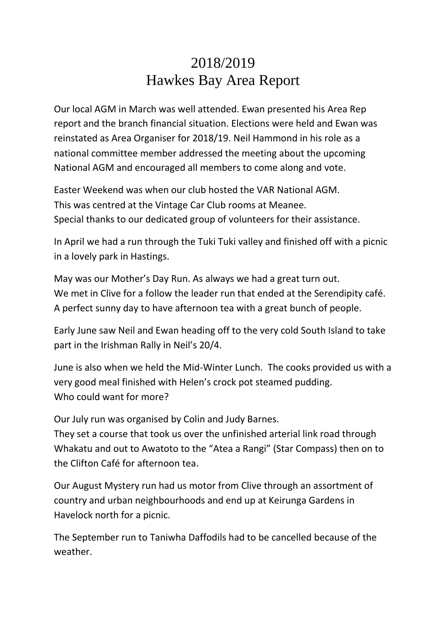## 2018/2019 Hawkes Bay Area Report

Our local AGM in March was well attended. Ewan presented his Area Rep report and the branch financial situation. Elections were held and Ewan was reinstated as Area Organiser for 2018/19. Neil Hammond in his role as a national committee member addressed the meeting about the upcoming National AGM and encouraged all members to come along and vote.

Easter Weekend was when our club hosted the VAR National AGM. This was centred at the Vintage Car Club rooms at Meanee. Special thanks to our dedicated group of volunteers for their assistance.

In April we had a run through the Tuki Tuki valley and finished off with a picnic in a lovely park in Hastings.

May was our Mother's Day Run. As always we had a great turn out. We met in Clive for a follow the leader run that ended at the Serendipity café. A perfect sunny day to have afternoon tea with a great bunch of people.

Early June saw Neil and Ewan heading off to the very cold South Island to take part in the Irishman Rally in Neil's 20/4.

June is also when we held the Mid-Winter Lunch. The cooks provided us with a very good meal finished with Helen's crock pot steamed pudding. Who could want for more?

Our July run was organised by Colin and Judy Barnes.

They set a course that took us over the unfinished arterial link road through Whakatu and out to Awatoto to the "Atea a Rangi" (Star Compass) then on to the Clifton Café for afternoon tea.

Our August Mystery run had us motor from Clive through an assortment of country and urban neighbourhoods and end up at Keirunga Gardens in Havelock north for a picnic.

The September run to Taniwha Daffodils had to be cancelled because of the weather.